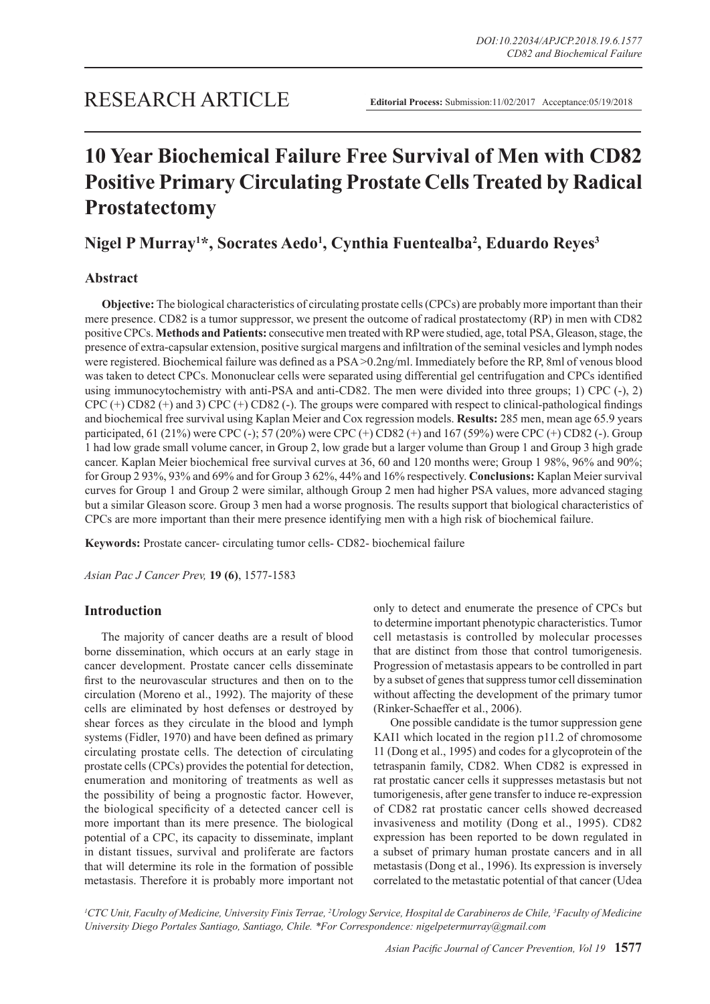# **10 Year Biochemical Failure Free Survival of Men with CD82 Positive Primary Circulating Prostate Cells Treated by Radical Prostatectomy**

## **Nigel P Murray1 \*, Socrates Aedo1 , Cynthia Fuentealba2 , Eduardo Reyes3**

## **Abstract**

**Objective:** The biological characteristics of circulating prostate cells (CPCs) are probably more important than their mere presence. CD82 is a tumor suppressor, we present the outcome of radical prostatectomy (RP) in men with CD82 positive CPCs. **Methods and Patients:** consecutive men treated with RP were studied, age, total PSA, Gleason, stage, the presence of extra-capsular extension, positive surgical margens and infiltration of the seminal vesicles and lymph nodes were registered. Biochemical failure was defined as a PSA >0.2ng/ml. Immediately before the RP, 8ml of venous blood was taken to detect CPCs. Mononuclear cells were separated using differential gel centrifugation and CPCs identified using immunocytochemistry with anti-PSA and anti-CD82. The men were divided into three groups; 1) CPC (-), 2) CPC (+) CD82 (+) and 3) CPC (+) CD82 (-). The groups were compared with respect to clinical-pathological findings and biochemical free survival using Kaplan Meier and Cox regression models. **Results:** 285 men, mean age 65.9 years participated, 61 (21%) were CPC (-); 57 (20%) were CPC (+) CD82 (+) and 167 (59%) were CPC (+) CD82 (-). Group 1 had low grade small volume cancer, in Group 2, low grade but a larger volume than Group 1 and Group 3 high grade cancer. Kaplan Meier biochemical free survival curves at 36, 60 and 120 months were; Group 1 98%, 96% and 90%; for Group 2 93%, 93% and 69% and for Group 3 62%, 44% and 16% respectively. **Conclusions:** Kaplan Meier survival curves for Group 1 and Group 2 were similar, although Group 2 men had higher PSA values, more advanced staging but a similar Gleason score. Group 3 men had a worse prognosis. The results support that biological characteristics of CPCs are more important than their mere presence identifying men with a high risk of biochemical failure.

**Keywords:** Prostate cancer- circulating tumor cells- CD82- biochemical failure

*Asian Pac J Cancer Prev,* **19 (6)**, 1577-1583

## **Introduction**

The majority of cancer deaths are a result of blood borne dissemination, which occurs at an early stage in cancer development. Prostate cancer cells disseminate first to the neurovascular structures and then on to the circulation (Moreno et al., 1992). The majority of these cells are eliminated by host defenses or destroyed by shear forces as they circulate in the blood and lymph systems (Fidler, 1970) and have been defined as primary circulating prostate cells. The detection of circulating prostate cells (CPCs) provides the potential for detection, enumeration and monitoring of treatments as well as the possibility of being a prognostic factor. However, the biological specificity of a detected cancer cell is more important than its mere presence. The biological potential of a CPC, its capacity to disseminate, implant in distant tissues, survival and proliferate are factors that will determine its role in the formation of possible metastasis. Therefore it is probably more important not

only to detect and enumerate the presence of CPCs but to determine important phenotypic characteristics. Tumor cell metastasis is controlled by molecular processes that are distinct from those that control tumorigenesis. Progression of metastasis appears to be controlled in part by a subset of genes that suppress tumor cell dissemination without affecting the development of the primary tumor (Rinker-Schaeffer et al., 2006).

One possible candidate is the tumor suppression gene KAI1 which located in the region p11.2 of chromosome 11 (Dong et al., 1995) and codes for a glycoprotein of the tetraspanin family, CD82. When CD82 is expressed in rat prostatic cancer cells it suppresses metastasis but not tumorigenesis, after gene transfer to induce re-expression of CD82 rat prostatic cancer cells showed decreased invasiveness and motility (Dong et al., 1995). CD82 expression has been reported to be down regulated in a subset of primary human prostate cancers and in all metastasis (Dong et al., 1996). Its expression is inversely correlated to the metastatic potential of that cancer (Udea

*1 CTC Unit, Faculty of Medicine, University Finis Terrae, 2 Urology Service, Hospital de Carabineros de Chile, 3 Faculty of Medicine University Diego Portales Santiago, Santiago, Chile. \*For Correspondence: nigelpetermurray@gmail.com*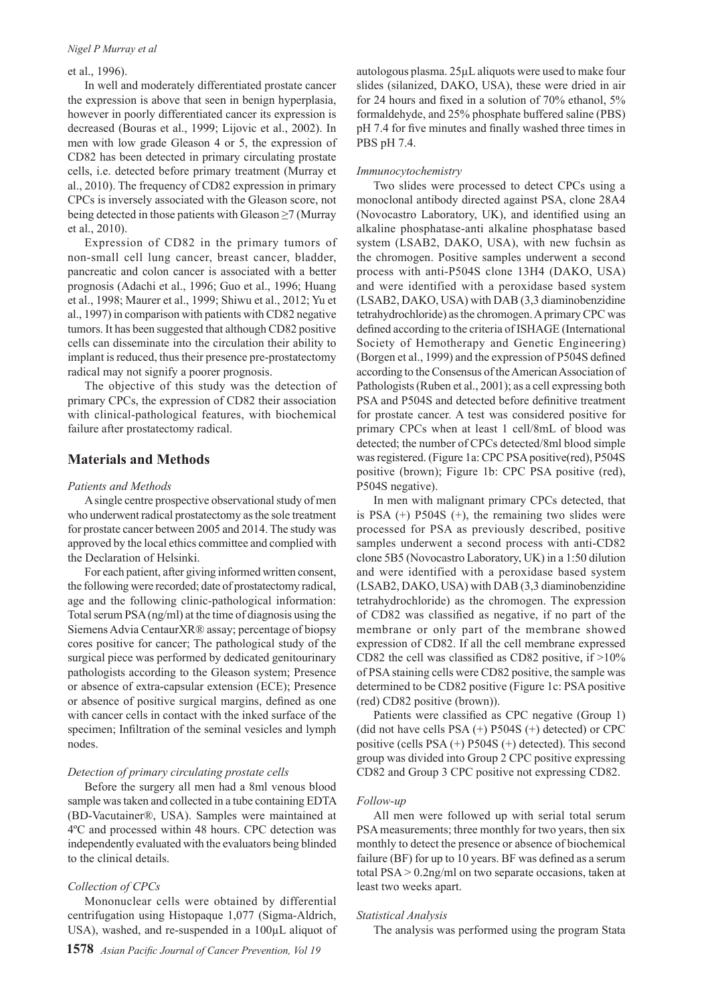#### *Nigel P Murray et al*

#### et al., 1996).

In well and moderately differentiated prostate cancer the expression is above that seen in benign hyperplasia, however in poorly differentiated cancer its expression is decreased (Bouras et al., 1999; Lijovic et al., 2002). In men with low grade Gleason 4 or 5, the expression of CD82 has been detected in primary circulating prostate cells, i.e. detected before primary treatment (Murray et al., 2010). The frequency of CD82 expression in primary CPCs is inversely associated with the Gleason score, not being detected in those patients with Gleason ≥7 (Murray et al., 2010).

Expression of CD82 in the primary tumors of non-small cell lung cancer, breast cancer, bladder, pancreatic and colon cancer is associated with a better prognosis (Adachi et al., 1996; Guo et al., 1996; Huang et al., 1998; Maurer et al., 1999; Shiwu et al., 2012; Yu et al., 1997) in comparison with patients with CD82 negative tumors. It has been suggested that although CD82 positive cells can disseminate into the circulation their ability to implant is reduced, thus their presence pre-prostatectomy radical may not signify a poorer prognosis.

The objective of this study was the detection of primary CPCs, the expression of CD82 their association with clinical-pathological features, with biochemical failure after prostatectomy radical.

## **Materials and Methods**

#### *Patients and Methods*

A single centre prospective observational study of men who underwent radical prostatectomy as the sole treatment for prostate cancer between 2005 and 2014. The study was approved by the local ethics committee and complied with the Declaration of Helsinki.

For each patient, after giving informed written consent, the following were recorded; date of prostatectomy radical, age and the following clinic-pathological information: Total serum PSA (ng/ml) at the time of diagnosis using the Siemens Advia CentaurXR® assay; percentage of biopsy cores positive for cancer; The pathological study of the surgical piece was performed by dedicated genitourinary pathologists according to the Gleason system; Presence or absence of extra-capsular extension (ECE); Presence or absence of positive surgical margins, defined as one with cancer cells in contact with the inked surface of the specimen; Infiltration of the seminal vesicles and lymph nodes.

#### *Detection of primary circulating prostate cells*

Before the surgery all men had a 8ml venous blood sample was taken and collected in a tube containing EDTA (BD-Vacutainer®, USA). Samples were maintained at 4ºC and processed within 48 hours. CPC detection was independently evaluated with the evaluators being blinded to the clinical details.

#### *Collection of CPCs*

Mononuclear cells were obtained by differential centrifugation using Histopaque 1,077 (Sigma-Aldrich, USA), washed, and re-suspended in a 100µL aliquot of autologous plasma. 25µL aliquots were used to make four slides (silanized, DAKO, USA), these were dried in air for 24 hours and fixed in a solution of 70% ethanol, 5% formaldehyde, and 25% phosphate buffered saline (PBS) pH 7.4 for five minutes and finally washed three times in PBS pH 7.4.

#### *Immunocytochemistry*

Two slides were processed to detect CPCs using a monoclonal antibody directed against PSA, clone 28A4 (Novocastro Laboratory, UK), and identified using an alkaline phosphatase-anti alkaline phosphatase based system (LSAB2, DAKO, USA), with new fuchsin as the chromogen. Positive samples underwent a second process with anti-P504S clone 13H4 (DAKO, USA) and were identified with a peroxidase based system (LSAB2, DAKO, USA) with DAB (3,3 diaminobenzidine tetrahydrochloride) as the chromogen. A primary CPC was defined according to the criteria of ISHAGE (International Society of Hemotherapy and Genetic Engineering) (Borgen et al., 1999) and the expression of P504S defined according to the Consensus of the American Association of Pathologists (Ruben et al., 2001); as a cell expressing both PSA and P504S and detected before definitive treatment for prostate cancer. A test was considered positive for primary CPCs when at least 1 cell/8mL of blood was detected; the number of CPCs detected/8ml blood simple was registered. (Figure 1a: CPC PSA positive(red), P504S positive (brown); Figure 1b: CPC PSA positive (red), P504S negative).

In men with malignant primary CPCs detected, that is PSA  $(+)$  P504S  $(+)$ , the remaining two slides were processed for PSA as previously described, positive samples underwent a second process with anti-CD82 clone 5B5 (Novocastro Laboratory, UK) in a 1:50 dilution and were identified with a peroxidase based system (LSAB2, DAKO, USA) with DAB (3,3 diaminobenzidine tetrahydrochloride) as the chromogen. The expression of CD82 was classified as negative, if no part of the membrane or only part of the membrane showed expression of CD82. If all the cell membrane expressed CD82 the cell was classified as CD82 positive, if >10% of PSA staining cells were CD82 positive, the sample was determined to be CD82 positive (Figure 1c: PSA positive (red) CD82 positive (brown)).

Patients were classified as CPC negative (Group 1) (did not have cells  $PSA (+)$  P504S  $(+)$  detected) or CPC positive (cells PSA (+) P504S (+) detected). This second group was divided into Group 2 CPC positive expressing CD82 and Group 3 CPC positive not expressing CD82.

#### *Follow-up*

All men were followed up with serial total serum PSA measurements; three monthly for two years, then six monthly to detect the presence or absence of biochemical failure (BF) for up to 10 years. BF was defined as a serum total PSA > 0.2ng/ml on two separate occasions, taken at least two weeks apart.

#### *Statistical Analysis*

The analysis was performed using the program Stata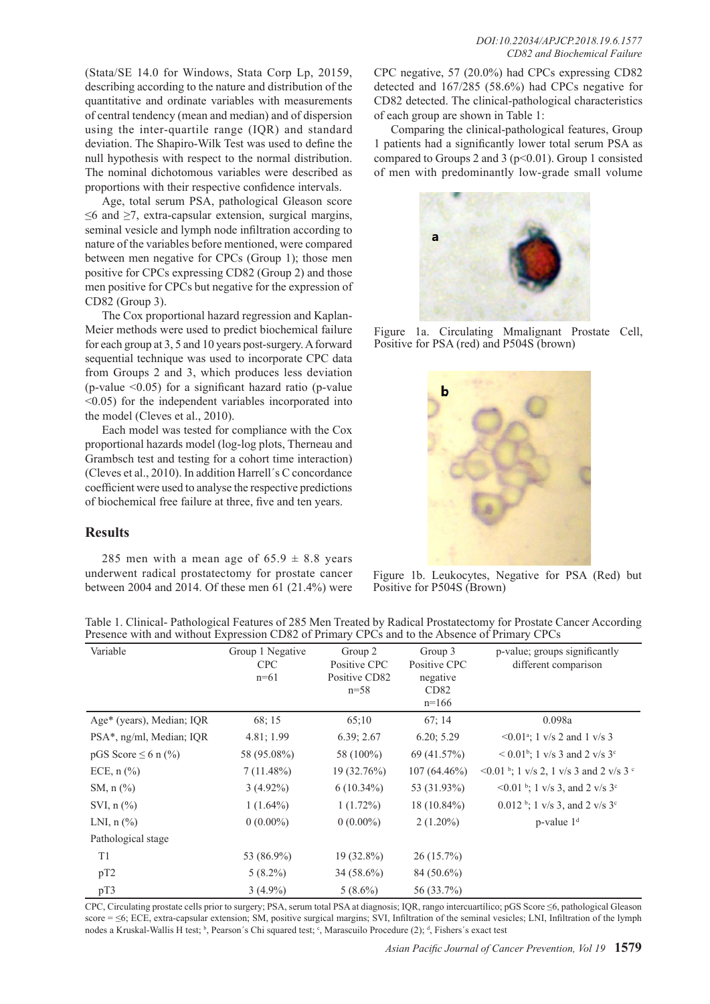Age, total serum PSA, pathological Gleason score  $\leq$ 6 and  $\geq$ 7, extra-capsular extension, surgical margins, seminal vesicle and lymph node infiltration according to nature of the variables before mentioned, were compared between men negative for CPCs (Group 1); those men positive for CPCs expressing CD82 (Group 2) and those men positive for CPCs but negative for the expression of CD82 (Group 3).

The Cox proportional hazard regression and Kaplan-Meier methods were used to predict biochemical failure for each group at 3, 5 and 10 years post-surgery. A forward sequential technique was used to incorporate CPC data from Groups 2 and 3, which produces less deviation (p-value  $\leq 0.05$ ) for a significant hazard ratio (p-value <0.05) for the independent variables incorporated into the model (Cleves et al., 2010).

Each model was tested for compliance with the Cox proportional hazards model (log-log plots, Therneau and Grambsch test and testing for a cohort time interaction) (Cleves et al., 2010). In addition Harrell´s C concordance coefficient were used to analyse the respective predictions of biochemical free failure at three, five and ten years.

## **Results**

285 men with a mean age of  $65.9 \pm 8.8$  years underwent radical prostatectomy for prostate cancer between 2004 and 2014. Of these men 61 (21.4%) were CPC negative, 57 (20.0%) had CPCs expressing CD82 detected and 167/285 (58.6%) had CPCs negative for CD82 detected. The clinical-pathological characteristics of each group are shown in Table 1:

Comparing the clinical-pathological features, Group 1 patients had a significantly lower total serum PSA as compared to Groups 2 and 3 ( $p<0.01$ ). Group 1 consisted of men with predominantly low-grade small volume



Figure 1a. Circulating Mmalignant Prostate Cell, Positive for PSA (red) and P504S (brown)



Figure 1b. Leukocytes, Negative for PSA (Red) but Positive for P504S (Brown)

Table 1. Clinical- Pathological Features of 285 Men Treated by Radical Prostatectomy for Prostate Cancer According Presence with and without Expression CD82 of Primary CPCs and to the Absence of Primary CPCs

| Variable                            | Group 1 Negative<br><b>CPC</b><br>$n=61$ | Group 2<br>Positive CPC<br>Positive CD82<br>$n=58$ | Group 3<br>Positive CPC<br>negative<br>CD82<br>$n=166$ | p-value; groups significantly<br>different comparison  |
|-------------------------------------|------------------------------------------|----------------------------------------------------|--------------------------------------------------------|--------------------------------------------------------|
| Age* (years), Median; IQR           | 68; 15                                   | 65:10                                              | 67:14                                                  | 0.098a                                                 |
| PSA*, ng/ml, Median; IQR            | 4.81; 1.99                               | 6.39; 2.67                                         | 6.20; 5.29                                             | $\leq 0.01^{\circ}$ ; 1 v/s 2 and 1 v/s 3              |
| pGS Score $\leq 6$ n (%)            | 58 (95.08%)                              | 58 (100%)                                          | 69 (41.57%)                                            | $\leq 0.01^{\circ}$ ; 1 v/s 3 and 2 v/s 3 <sup>c</sup> |
| ECE, $n$ $\left(\frac{9}{6}\right)$ | $7(11.48\%)$                             | 19 (32.76%)                                        | $107(64.46\%)$                                         | $\leq 0.01$ b; 1 v/s 2, 1 v/s 3 and 2 v/s 3 c          |
| SM, $n$ $\frac{\%}{\%}$             | $3(4.92\%)$                              | $6(10.34\%)$                                       | 53 (31.93%)                                            | <0.01 b; 1 v/s 3, and 2 v/s $3^{\circ}$                |
| SVI, $n$ $\left(\frac{9}{6}\right)$ | $1(1.64\%)$                              | $1(1.72\%)$                                        | $18(10.84\%)$                                          | 0.012 b; 1 v/s 3, and 2 v/s $3^{\circ}$                |
| LNI, $n$ $\left(\frac{9}{6}\right)$ | $0(0.00\%)$                              | $0(0.00\%)$                                        | $2(1.20\%)$                                            | $p$ -value $1d$                                        |
| Pathological stage                  |                                          |                                                    |                                                        |                                                        |
| T <sub>1</sub>                      | 53 (86.9%)                               | $19(32.8\%)$                                       | $26(15.7\%)$                                           |                                                        |
| pT2                                 | $5(8.2\%)$                               | $34(58.6\%)$                                       | 84 (50.6%)                                             |                                                        |
| pT3                                 | $3(4.9\%)$                               | $5(8.6\%)$                                         | 56 (33.7%)                                             |                                                        |

CPC, Circulating prostate cells prior to surgery; PSA, serum total PSA at diagnosis; IQR, rango intercuartílico; pGS Score ≤6, pathological Gleason score = ≤6; ECE, extra-capsular extension; SM, positive surgical margins; SVI, Infiltration of the seminal vesicles; LNI, Infiltration of the lymph nodes a Kruskal-Wallis H test; <sup>b</sup>, Pearson's Chi squared test; <sup>c</sup>, Marascuilo Procedure (2); <sup>d</sup>, Fishers's exact test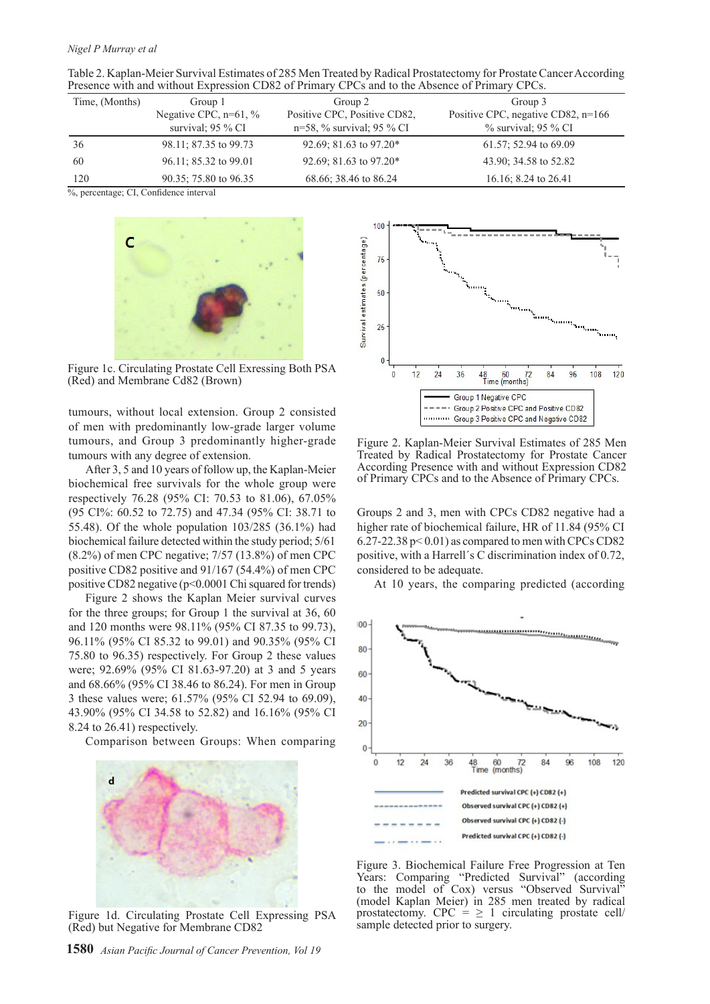#### *Nigel P Murray et al*

| Table 2. Kaplan-Meier Survival Estimates of 285 Men Treated by Radical Prostatectomy for Prostate Cancer According |  |  |
|--------------------------------------------------------------------------------------------------------------------|--|--|
| Presence with and without Expression CD82 of Primary CPCs and to the Absence of Primary CPCs.                      |  |  |

| Time, (Months) | Group 1                  | Group 2                      | Group 3                              |
|----------------|--------------------------|------------------------------|--------------------------------------|
|                | Negative CPC, $n=61, \%$ | Positive CPC, Positive CD82, | Positive CPC, negative CD82, $n=166$ |
|                | survival; $95\%$ CI      | $n=58$ , % survival; 95 % CI | $\%$ survival; 95 $\%$ CI            |
| 36             | 98.11; 87.35 to 99.73    | 92.69; 81.63 to 97.20*       | $61.57$ ; 52.94 to 69.09             |
| 60             | 96.11; 85.32 to 99.01    | 92.69; 81.63 to 97.20*       | 43.90; 34.58 to 52.82                |
| 120            | 90.35; 75.80 to 96.35    | 68.66; 38.46 to 86.24        | 16.16; 8.24 to $26.41$               |

%, percentage; CI, Confidence interval



Figure 1c. Circulating Prostate Cell Exressing Both PSA (Red) and Membrane Cd82 (Brown)

tumours, without local extension. Group 2 consisted of men with predominantly low-grade larger volume tumours, and Group 3 predominantly higher-grade tumours with any degree of extension.

After 3, 5 and 10 years of follow up, the Kaplan-Meier biochemical free survivals for the whole group were respectively 76.28 (95% CI: 70.53 to 81.06), 67.05% (95 CI%: 60.52 to 72.75) and 47.34 (95% CI: 38.71 to 55.48). Of the whole population 103/285 (36.1%) had biochemical failure detected within the study period; 5/61 (8.2%) of men CPC negative; 7/57 (13.8%) of men CPC positive CD82 positive and 91/167 (54.4%) of men CPC positive CD82 negative (p<0.0001 Chi squared for trends)

Figure 2 shows the Kaplan Meier survival curves for the three groups; for Group 1 the survival at 36, 60 and 120 months were 98.11% (95% CI 87.35 to 99.73), 96.11% (95% CI 85.32 to 99.01) and 90.35% (95% CI 75.80 to 96.35) respectively. For Group 2 these values were; 92.69% (95% CI 81.63-97.20) at 3 and 5 years and 68.66% (95% CI 38.46 to 86.24). For men in Group 3 these values were; 61.57% (95% CI 52.94 to 69.09), 43.90% (95% CI 34.58 to 52.82) and 16.16% (95% CI 8.24 to 26.41) respectively.

Comparison between Groups: When comparing



Figure 1d. Circulating Prostate Cell Expressing PSA (Red) but Negative for Membrane CD82





Figure 3. Biochemical Failure Free Progression at Ten Years: Comparing "Predicted Survival" (according to the model of Cox) versus "Observed Survival" (model Kaplan Meier) in 285 men treated by radical prostatectomy. CPC =  $\geq$  1 circulating prostate cell/ sample detected prior to surgery.



Figure 2. Kaplan-Meier Survival Estimates of 285 Men Treated by Radical Prostatectomy for Prostate Cancer According Presence with and without Expression CD82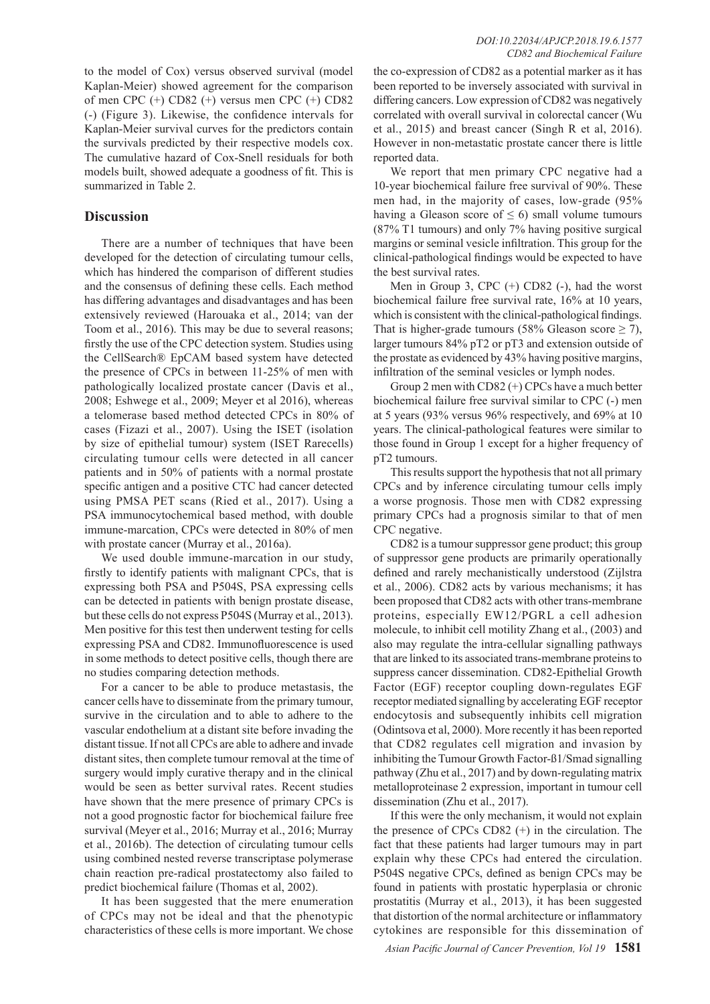to the model of Cox) versus observed survival (model Kaplan-Meier) showed agreement for the comparison of men CPC (+) CD82 (+) versus men CPC (+) CD82 (-) (Figure 3). Likewise, the confidence intervals for Kaplan-Meier survival curves for the predictors contain the survivals predicted by their respective models cox. The cumulative hazard of Cox-Snell residuals for both models built, showed adequate a goodness of fit. This is summarized in Table 2.

## **Discussion**

There are a number of techniques that have been developed for the detection of circulating tumour cells, which has hindered the comparison of different studies and the consensus of defining these cells. Each method has differing advantages and disadvantages and has been extensively reviewed (Harouaka et al., 2014; van der Toom et al., 2016). This may be due to several reasons; firstly the use of the CPC detection system. Studies using the CellSearch® EpCAM based system have detected the presence of CPCs in between 11-25% of men with pathologically localized prostate cancer (Davis et al., 2008; Eshwege et al., 2009; Meyer et al 2016), whereas a telomerase based method detected CPCs in 80% of cases (Fizazi et al., 2007). Using the ISET (isolation by size of epithelial tumour) system (ISET Rarecells) circulating tumour cells were detected in all cancer patients and in 50% of patients with a normal prostate specific antigen and a positive CTC had cancer detected using PMSA PET scans (Ried et al., 2017). Using a PSA immunocytochemical based method, with double immune-marcation, CPCs were detected in 80% of men with prostate cancer (Murray et al., 2016a).

We used double immune-marcation in our study, firstly to identify patients with malignant CPCs, that is expressing both PSA and P504S, PSA expressing cells can be detected in patients with benign prostate disease, but these cells do not express P504S (Murray et al., 2013). Men positive for this test then underwent testing for cells expressing PSA and CD82. Immunofluorescence is used in some methods to detect positive cells, though there are no studies comparing detection methods.

For a cancer to be able to produce metastasis, the cancer cells have to disseminate from the primary tumour, survive in the circulation and to able to adhere to the vascular endothelium at a distant site before invading the distant tissue. If not all CPCs are able to adhere and invade distant sites, then complete tumour removal at the time of surgery would imply curative therapy and in the clinical would be seen as better survival rates. Recent studies have shown that the mere presence of primary CPCs is not a good prognostic factor for biochemical failure free survival (Meyer et al., 2016; Murray et al., 2016; Murray et al., 2016b). The detection of circulating tumour cells using combined nested reverse transcriptase polymerase chain reaction pre-radical prostatectomy also failed to predict biochemical failure (Thomas et al, 2002).

It has been suggested that the mere enumeration of CPCs may not be ideal and that the phenotypic characteristics of these cells is more important. We chose

the co-expression of CD82 as a potential marker as it has been reported to be inversely associated with survival in differing cancers. Low expression of CD82 was negatively correlated with overall survival in colorectal cancer (Wu et al., 2015) and breast cancer (Singh R et al, 2016). However in non-metastatic prostate cancer there is little reported data.

We report that men primary CPC negative had a 10-year biochemical failure free survival of 90%. These men had, in the majority of cases, low-grade (95% having a Gleason score of  $\leq 6$ ) small volume tumours (87% T1 tumours) and only 7% having positive surgical margins or seminal vesicle infiltration. This group for the clinical-pathological findings would be expected to have the best survival rates.

Men in Group 3, CPC (+) CD82 (-), had the worst biochemical failure free survival rate, 16% at 10 years, which is consistent with the clinical-pathological findings. That is higher-grade tumours (58% Gleason score  $\geq$  7), larger tumours 84% pT2 or pT3 and extension outside of the prostate as evidenced by 43% having positive margins, infiltration of the seminal vesicles or lymph nodes.

Group 2 men with CD82 (+) CPCs have a much better biochemical failure free survival similar to CPC (-) men at 5 years (93% versus 96% respectively, and 69% at 10 years. The clinical-pathological features were similar to those found in Group 1 except for a higher frequency of pT2 tumours.

This results support the hypothesis that not all primary CPCs and by inference circulating tumour cells imply a worse prognosis. Those men with CD82 expressing primary CPCs had a prognosis similar to that of men CPC negative.

CD82 is a tumour suppressor gene product; this group of suppressor gene products are primarily operationally defined and rarely mechanistically understood (Zijlstra et al., 2006). CD82 acts by various mechanisms; it has been proposed that CD82 acts with other trans-membrane proteins, especially EW12/PGRL a cell adhesion molecule, to inhibit cell motility Zhang et al., (2003) and also may regulate the intra-cellular signalling pathways that are linked to its associated trans-membrane proteins to suppress cancer dissemination. CD82-Epithelial Growth Factor (EGF) receptor coupling down-regulates EGF receptor mediated signalling by accelerating EGF receptor endocytosis and subsequently inhibits cell migration (Odintsova et al, 2000). More recently it has been reported that CD82 regulates cell migration and invasion by inhibiting the Tumour Growth Factor-ß1/Smad signalling pathway (Zhu et al., 2017) and by down-regulating matrix metalloproteinase 2 expression, important in tumour cell dissemination (Zhu et al., 2017).

If this were the only mechanism, it would not explain the presence of CPCs CD82 (+) in the circulation. The fact that these patients had larger tumours may in part explain why these CPCs had entered the circulation. P504S negative CPCs, defined as benign CPCs may be found in patients with prostatic hyperplasia or chronic prostatitis (Murray et al., 2013), it has been suggested that distortion of the normal architecture or inflammatory cytokines are responsible for this dissemination of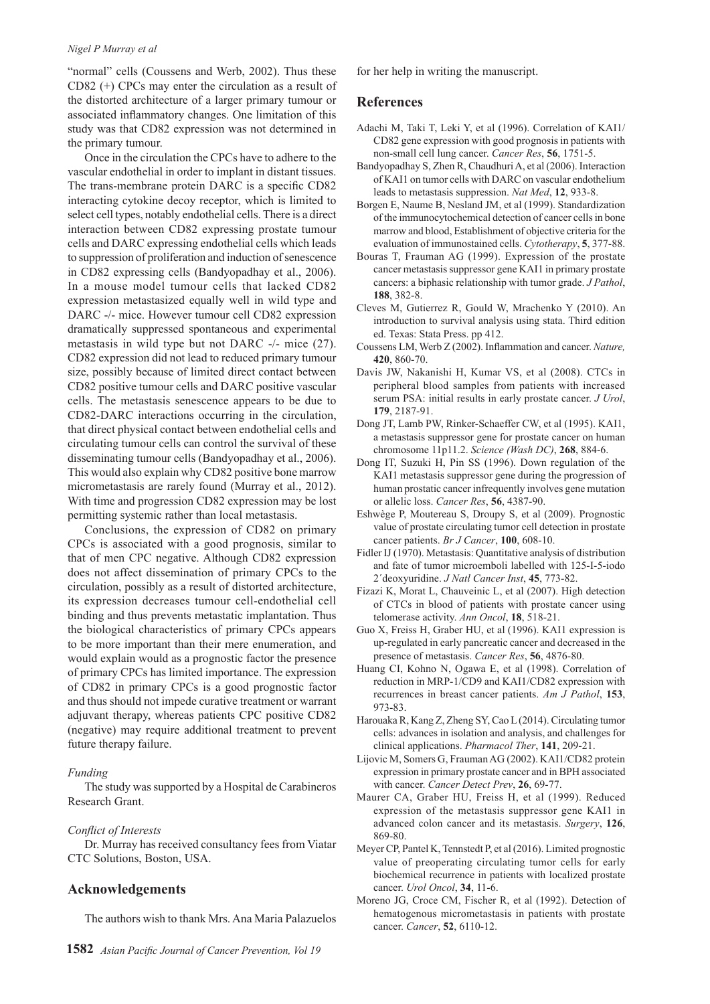#### *Nigel P Murray et al*

"normal" cells (Coussens and Werb, 2002). Thus these CD82 (+) CPCs may enter the circulation as a result of the distorted architecture of a larger primary tumour or associated inflammatory changes. One limitation of this study was that CD82 expression was not determined in the primary tumour.

Once in the circulation the CPCs have to adhere to the vascular endothelial in order to implant in distant tissues. The trans-membrane protein DARC is a specific CD82 interacting cytokine decoy receptor, which is limited to select cell types, notably endothelial cells. There is a direct interaction between CD82 expressing prostate tumour cells and DARC expressing endothelial cells which leads to suppression of proliferation and induction of senescence in CD82 expressing cells (Bandyopadhay et al., 2006). In a mouse model tumour cells that lacked CD82 expression metastasized equally well in wild type and DARC -/- mice. However tumour cell CD82 expression dramatically suppressed spontaneous and experimental metastasis in wild type but not DARC -/- mice (27). CD82 expression did not lead to reduced primary tumour size, possibly because of limited direct contact between CD82 positive tumour cells and DARC positive vascular cells. The metastasis senescence appears to be due to CD82-DARC interactions occurring in the circulation, that direct physical contact between endothelial cells and circulating tumour cells can control the survival of these disseminating tumour cells (Bandyopadhay et al., 2006). This would also explain why CD82 positive bone marrow micrometastasis are rarely found (Murray et al., 2012). With time and progression CD82 expression may be lost permitting systemic rather than local metastasis.

Conclusions, the expression of CD82 on primary CPCs is associated with a good prognosis, similar to that of men CPC negative. Although CD82 expression does not affect dissemination of primary CPCs to the circulation, possibly as a result of distorted architecture, its expression decreases tumour cell-endothelial cell binding and thus prevents metastatic implantation. Thus the biological characteristics of primary CPCs appears to be more important than their mere enumeration, and would explain would as a prognostic factor the presence of primary CPCs has limited importance. The expression of CD82 in primary CPCs is a good prognostic factor and thus should not impede curative treatment or warrant adjuvant therapy, whereas patients CPC positive CD82 (negative) may require additional treatment to prevent future therapy failure.

#### *Funding*

The study was supported by a Hospital de Carabineros Research Grant.

#### *Conflict of Interests*

Dr. Murray has received consultancy fees from Viatar CTC Solutions, Boston, USA.

## **Acknowledgements**

The authors wish to thank Mrs. Ana Maria Palazuelos

for her help in writing the manuscript.

### **References**

- Adachi M, Taki T, Leki Y, et al (1996). Correlation of KAI1/ CD82 gene expression with good prognosis in patients with non-small cell lung cancer. *Cancer Res*, **56**, 1751-5.
- Bandyopadhay S, Zhen R, Chaudhuri A, et al (2006). Interaction of KAI1 on tumor cells with DARC on vascular endothelium leads to metastasis suppression. *Nat Med*, **12**, 933-8.
- Borgen E, Naume B, Nesland JM, et al (1999). Standardization of the immunocytochemical detection of cancer cells in bone marrow and blood, Establishment of objective criteria for the evaluation of immunostained cells. *Cytotherapy*, **5**, 377-88.
- Bouras T, Frauman AG (1999). Expression of the prostate cancer metastasis suppressor gene KAI1 in primary prostate cancers: a biphasic relationship with tumor grade. *J Pathol*, **188**, 382-8.
- Cleves M, Gutierrez R, Gould W, Mrachenko Y (2010). An introduction to survival analysis using stata. Third edition ed. Texas: Stata Press. pp 412.
- Coussens LM, Werb Z (2002). Inflammation and cancer. *Nature,* **420**, 860-70.
- Davis JW, Nakanishi H, Kumar VS, et al (2008). CTCs in peripheral blood samples from patients with increased serum PSA: initial results in early prostate cancer. *J Urol*, **179**, 2187-91.
- Dong JT, Lamb PW, Rinker-Schaeffer CW, et al (1995). KAI1, a metastasis suppressor gene for prostate cancer on human chromosome 11p11.2. *Science (Wash DC)*, **268**, 884-6.
- Dong IT, Suzuki H, Pin SS (1996). Down regulation of the KAI1 metastasis suppressor gene during the progression of human prostatic cancer infrequently involves gene mutation or allelic loss. *Cancer Res*, **56**, 4387-90.
- Eshwège P, Moutereau S, Droupy S, et al (2009). Prognostic value of prostate circulating tumor cell detection in prostate cancer patients. *Br J Cancer*, **100**, 608-10.
- Fidler IJ (1970). Metastasis: Quantitative analysis of distribution and fate of tumor microemboli labelled with 125-I-5-iodo 2´deoxyuridine. *J Natl Cancer Inst*, **45**, 773-82.
- Fizazi K, Morat L, Chauveinic L, et al (2007). High detection of CTCs in blood of patients with prostate cancer using telomerase activity. *Ann Oncol*, **18**, 518-21.
- Guo X, Freiss H, Graber HU, et al (1996). KAI1 expression is up-regulated in early pancreatic cancer and decreased in the presence of metastasis. *Cancer Res*, **56**, 4876-80.
- Huang CI, Kohno N, Ogawa E, et al (1998). Correlation of reduction in MRP-1/CD9 and KAI1/CD82 expression with recurrences in breast cancer patients. *Am J Pathol*, **153**, 973-83.
- Harouaka R, Kang Z, Zheng SY, Cao L (2014). Circulating tumor cells: advances in isolation and analysis, and challenges for clinical applications. *Pharmacol Ther*, **141**, 209-21.
- Lijovic M, Somers G, Frauman AG (2002). KAI1/CD82 protein expression in primary prostate cancer and in BPH associated with cancer. *Cancer Detect Prev*, **26**, 69-77.
- Maurer CA, Graber HU, Freiss H, et al (1999). Reduced expression of the metastasis suppressor gene KAI1 in advanced colon cancer and its metastasis. *Surgery*, **126**, 869-80.
- Meyer CP, Pantel K, Tennstedt P, et al (2016). Limited prognostic value of preoperating circulating tumor cells for early biochemical recurrence in patients with localized prostate cancer. *Urol Oncol*, **34**, 11-6.
- Moreno JG, Croce CM, Fischer R, et al (1992). Detection of hematogenous micrometastasis in patients with prostate cancer. *Cancer*, **52**, 6110-12.